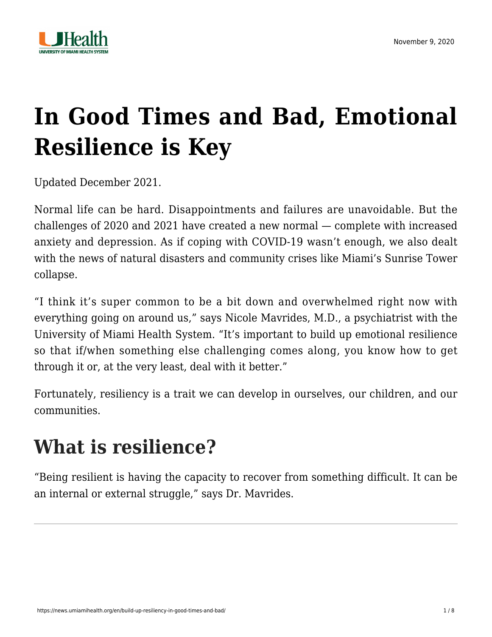

# **[In Good Times and Bad, Emotional](https://news.umiamihealth.org/en/build-up-resiliency-in-good-times-and-bad/) [Resilience is Key](https://news.umiamihealth.org/en/build-up-resiliency-in-good-times-and-bad/)**

Updated December 2021.

Normal life can be hard. Disappointments and failures are unavoidable. But the challenges of 2020 and 2021 have created a new normal — complete with increased anxiety and depression. As if coping with COVID-19 wasn't enough, we also dealt with the news of natural disasters and community crises like Miami's Sunrise Tower collapse.

"I think it's super common to be a bit down and overwhelmed right now with everything going on around us," says [Nicole Mavrides, M.D.,](https://doctors.umiamihealth.org/provider/Nicole+Ann+Mavrides/524929?name=Nicole%20Ann%20Mavrides&sort=relevance&tt=e66967be-7e97-4f53-b581-f3ed8ac356c2&ut=66f23840-13fd-4e6a-85e7-7690560ef315×tamp=2020-11-09T15%3A39%3A14.568Z) a psychiatrist with the University of Miami Health System. "It's important to build up emotional resilience so that if/when something else challenging comes along, you know how to get through it or, at the very least, deal with it better."

Fortunately, resiliency is a trait we can develop in ourselves, our children, and our communities.

## **What is resilience?**

"Being resilient is having the capacity to recover from something difficult. It can be an internal or external struggle," says Dr. Mavrides.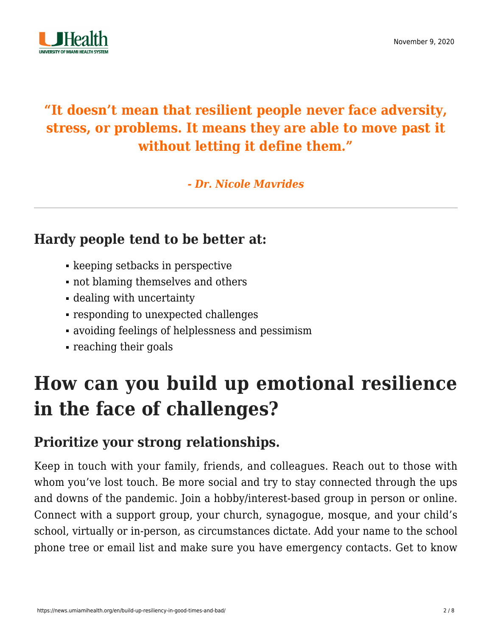

### **"It doesn't mean that resilient people never face adversity, stress, or problems. It means they are able to move past it without letting it define them."**

*- Dr. Nicole Mavrides*

#### **Hardy people tend to be better at:**

- **keeping setbacks in perspective**
- not blaming themselves and others
- dealing with uncertainty
- responding to unexpected challenges
- avoiding feelings of helplessness and pessimism
- reaching their goals

# **How can you build up emotional resilience in the face of challenges?**

### **Prioritize your strong relationships.**

Keep in touch with your family, friends, and colleagues. Reach out to those with whom you've lost touch. Be more social and try to stay connected through the ups and downs of the pandemic. Join a hobby/interest-based group in person or online. Connect with a support group, your church, synagogue, mosque, and your child's school, virtually or in-person, as circumstances dictate. Add your name to the school phone tree or email list and make sure you have emergency contacts. Get to know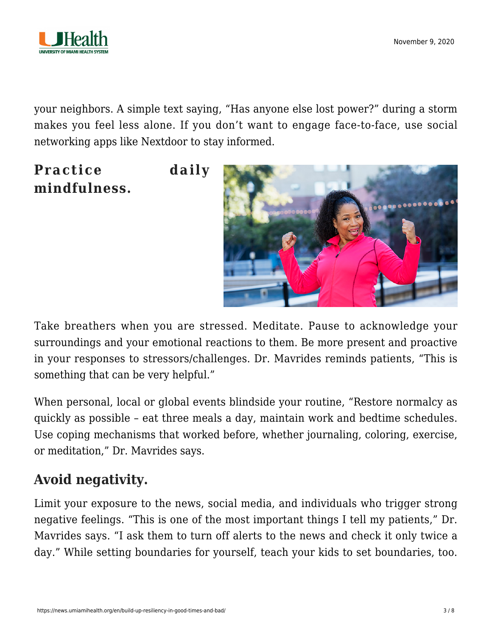

your neighbors. A simple text saying, "Has anyone else lost power?" during a storm makes you feel less alone. If you don't want to engage face-to-face, use social networking apps like Nextdoor to stay informed.

**Practice daily mindfulness.**



Take breathers when you are stressed. Meditate. Pause to acknowledge your surroundings and your emotional reactions to them. Be more present and proactive in your responses to stressors/challenges. Dr. Mavrides reminds patients, "This is something that can be very helpful."

When personal, local or global events blindside your routine, "Restore normalcy as quickly as possible – eat three meals a day, maintain work and bedtime schedules. Use coping mechanisms that worked before, whether journaling, coloring, exercise, or meditation," Dr. Mavrides says.

### **Avoid negativity.**

Limit your exposure to the news, social media, and individuals who trigger strong negative feelings. "This is one of the most important things I tell my patients," Dr. Mavrides says. "I ask them to turn off alerts to the news and check it only twice a day." While setting boundaries for yourself, teach your kids to set boundaries, too.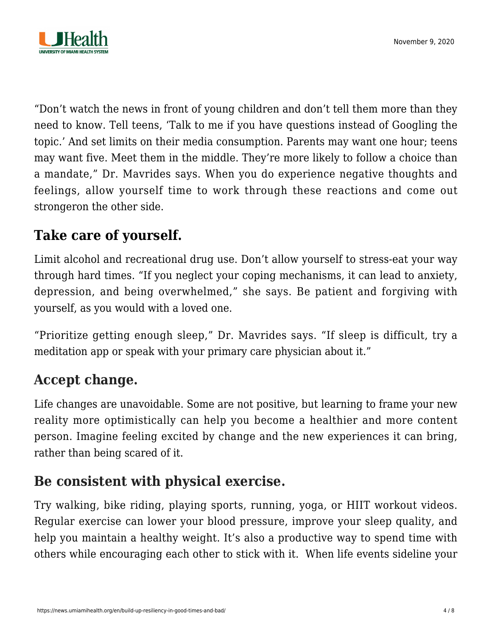

"Don't watch the news in front of young children and don't tell them more than they need to know. Tell teens, 'Talk to me if you have questions instead of Googling the topic.' And set limits on their media consumption. Parents may want one hour; teens may want five. Meet them in the middle. They're more likely to follow a choice than a mandate," Dr. Mavrides says. When you do experience negative thoughts and feelings, allow yourself time to work through these reactions and come out strongeron the other side.

### **[Take care of yourself.](https://news.umiamihealth.org/en/self-care-go-ahead-put-yourself-first/)**

Limit alcohol and recreational drug use. Don't allow yourself to stress-eat your way through hard times. "If you neglect your coping mechanisms, it can lead to anxiety, depression, and being overwhelmed," she says. Be patient and forgiving with yourself, as you would with a loved one.

"Prioritize getting enough sleep," Dr. Mavrides says. "If sleep is difficult, try a meditation app or speak with your primary care physician about it."

#### **Accept change.**

Life changes are unavoidable. Some are not positive, but learning to frame your new reality more optimistically can help you become a healthier and more content person. Imagine feeling excited by change and the new experiences it can bring, rather than being scared of it.

#### **Be consistent with physical exercise.**

Try walking, bike riding, playing sports, running, yoga, or HIIT workout videos. Regular exercise can lower your blood pressure, improve your sleep quality, and help you maintain a healthy weight. It's also a productive way to spend time with others while encouraging each other to stick with it. When life events sideline your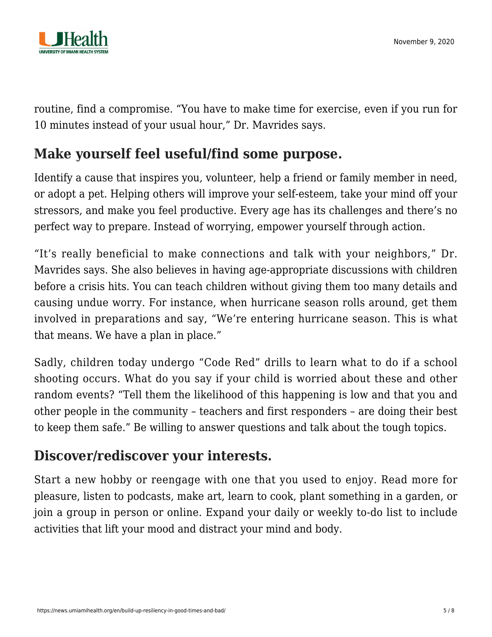

routine, find a compromise. "You have to make time for exercise, even if you run for 10 minutes instead of your usual hour," Dr. Mavrides says.

#### **Make yourself feel useful/find some purpose.**

Identify a cause that inspires you, volunteer, help a friend or family member in need, or adopt a pet. Helping others will improve your self-esteem, take your mind off your stressors, and make you feel productive. Every age has its challenges and there's no perfect way to prepare. Instead of worrying, empower yourself through action.

"It's really beneficial to make connections and talk with your neighbors," Dr. Mavrides says. She also believes in having age-appropriate discussions with children before a crisis hits. You can teach children without giving them too many details and causing undue worry. For instance, when hurricane season rolls around, get them involved in preparations and say, "We're entering hurricane season. This is what that means. We have a plan in place."

Sadly, children today undergo "Code Red" drills to learn what to do if a school shooting occurs. What do you say if your child is worried about these and other random events? "Tell them the likelihood of this happening is low and that you and other people in the community – teachers and first responders – are doing their best to keep them safe." Be willing to answer questions and talk about the tough topics.

#### **Discover/rediscover your interests.**

Start a new hobby or reengage with one that you used to enjoy. Read more for pleasure, listen to podcasts, make art, learn to cook, plant something in a garden, or join a group in person or online. Expand your daily or weekly to-do list to include activities that lift your mood and distract your mind and body.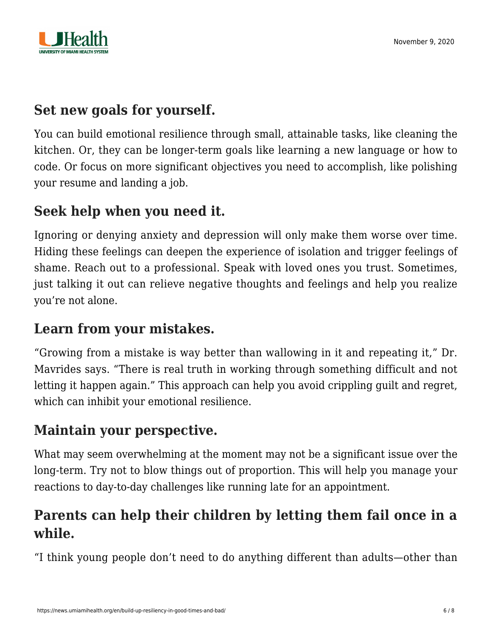

#### **Set new goals for yourself.**

You can build emotional resilience through small, attainable tasks, like cleaning the kitchen. Or, they can be longer-term goals like learning a new language or how to code. Or focus on more significant objectives you need to accomplish, like polishing your resume and landing a job.

#### **Seek help when you need it.**

Ignoring or denying anxiety and depression will only make them worse over time. Hiding these feelings can deepen the experience of isolation and trigger feelings of shame. Reach out to a professional. Speak with loved ones you trust. Sometimes, just talking it out can relieve negative thoughts and feelings and help you realize you're not alone.

#### **Learn from your mistakes.**

"Growing from a mistake is way better than wallowing in it and repeating it," Dr. Mavrides says. "There is real truth in working through something difficult and not letting it happen again." This approach can help you avoid crippling guilt and regret, which can inhibit your emotional resilience.

#### **Maintain your perspective.**

What may seem overwhelming at the moment may not be a significant issue over the long-term. Try not to blow things out of proportion. This will help you manage your reactions to day-to-day challenges like running late for an appointment.

### **Parents can help their children by letting them fail once in a while.**

"I think young people don't need to do anything different than adults—other than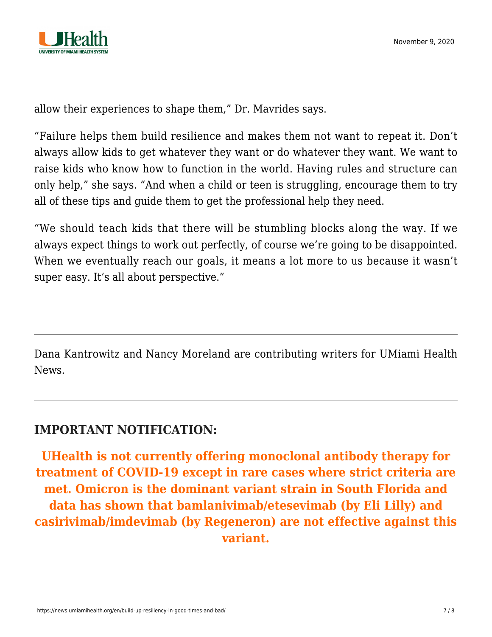

allow their experiences to shape them," Dr. Mavrides says.

"Failure helps them build resilience and makes them not want to repeat it. Don't always allow kids to get whatever they want or do whatever they want. We want to raise kids who know how to function in the world. Having rules and structure can only help," she says. "And when a child or teen is struggling, encourage them to try all of these tips and guide them to get the professional help they need.

"We should teach kids that there will be stumbling blocks along the way. If we always expect things to work out perfectly, of course we're going to be disappointed. When we eventually reach our goals, it means a lot more to us because it wasn't super easy. It's all about perspective."

Dana Kantrowitz and Nancy Moreland are contributing writers for UMiami Health News.

#### **IMPORTANT NOTIFICATION:**

**UHealth is not currently offering monoclonal antibody therapy for treatment of COVID-19 except in rare cases where strict criteria are met. Omicron is the dominant variant strain in South Florida and data has shown that bamlanivimab/etesevimab (by Eli Lilly) and casirivimab/imdevimab (by Regeneron) are not effective against this variant.**